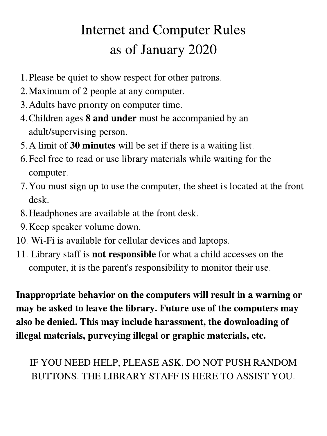## Internet and Computer Rules as of January 2020

- 1. Please be quiet to show respect for other patrons.
- 2. Maximum of 2 people at any computer.
- 3. Adults have priority on computer time.
- 4. Children ages 8 and under must be accompanied by an adult/supervising person.
- 5. A limit of 30 minutes will be set if there is a waiting list.
- Feel free to read or use library materials while waiting for the 6. computer.
- 7. You must sign up to use the computer, the sheet is located at the front desk.
- 8. Headphones are available at the front desk.
- 9. Keep speaker volume down.
- Wi-Fi is available for cellular devices and laptops. 10.
- 11. Library staff is not responsible for what a child accesses on the computer, it is the parent's responsibility to monitor their use.

Inappropriate behavior on the computers will result in a warning or may be asked to leave the library. Future use of the computers may also be denied. This may include harassment, the downloading of illegal materials, purveying illegal or graphic materials, etc.

IF YOU NEED HELP, PLEASE ASK. DO NOT PUSH RANDOM BUTTONS. THE LIBRARY STAFF IS HERE TO ASSIST YOU.